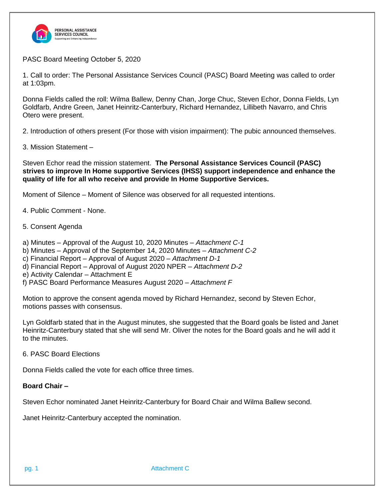

PASC Board Meeting October 5, 2020

1. Call to order: The Personal Assistance Services Council (PASC) Board Meeting was called to order at 1:03pm.

Donna Fields called the roll: Wilma Ballew, Denny Chan, Jorge Chuc, Steven Echor, Donna Fields, Lyn Goldfarb, Andre Green, Janet Heinritz-Canterbury, Richard Hernandez, Lillibeth Navarro, and Chris Otero were present.

2. Introduction of others present (For those with vision impairment): The pubic announced themselves.

3. Mission Statement –

Steven Echor read the mission statement. **The Personal Assistance Services Council (PASC) strives to improve In Home supportive Services (IHSS) support independence and enhance the quality of life for all who receive and provide In Home Supportive Services.**

Moment of Silence – Moment of Silence was observed for all requested intentions.

4. Public Comment - None.

- 5. Consent Agenda
- a) Minutes Approval of the August 10, 2020 Minutes *Attachment C-1*
- b) Minutes Approval of the September 14, 2020 Minutes *Attachment C-2*
- c) Financial Report Approval of August 2020 *Attachment D-1*
- d) Financial Report Approval of August 2020 NPER *Attachment D-2*
- e) Activity Calendar Attachment E
- f) PASC Board Performance Measures August 2020 *– Attachment F*

Motion to approve the consent agenda moved by Richard Hernandez, second by Steven Echor, motions passes with consensus.

Lyn Goldfarb stated that in the August minutes, she suggested that the Board goals be listed and Janet Heinritz-Canterbury stated that she will send Mr. Oliver the notes for the Board goals and he will add it to the minutes.

6. PASC Board Elections

Donna Fields called the vote for each office three times.

#### **Board Chair –**

Steven Echor nominated Janet Heinritz-Canterbury for Board Chair and Wilma Ballew second.

Janet Heinritz-Canterbury accepted the nomination.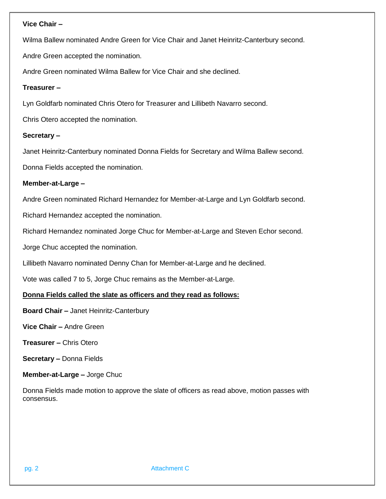### **Vice Chair –**

Wilma Ballew nominated Andre Green for Vice Chair and Janet Heinritz-Canterbury second.

Andre Green accepted the nomination.

Andre Green nominated Wilma Ballew for Vice Chair and she declined.

# **Treasurer –**

Lyn Goldfarb nominated Chris Otero for Treasurer and Lillibeth Navarro second.

Chris Otero accepted the nomination.

# **Secretary –**

Janet Heinritz-Canterbury nominated Donna Fields for Secretary and Wilma Ballew second.

Donna Fields accepted the nomination.

# **Member-at-Large –**

Andre Green nominated Richard Hernandez for Member-at-Large and Lyn Goldfarb second.

Richard Hernandez accepted the nomination.

Richard Hernandez nominated Jorge Chuc for Member-at-Large and Steven Echor second.

Jorge Chuc accepted the nomination.

Lillibeth Navarro nominated Denny Chan for Member-at-Large and he declined.

Vote was called 7 to 5, Jorge Chuc remains as the Member-at-Large.

# **Donna Fields called the slate as officers and they read as follows:**

**Board Chair –** Janet Heinritz-Canterbury

**Vice Chair –** Andre Green

- **Treasurer –** Chris Otero
- **Secretary –** Donna Fields

**Member-at-Large –** Jorge Chuc

Donna Fields made motion to approve the slate of officers as read above, motion passes with consensus.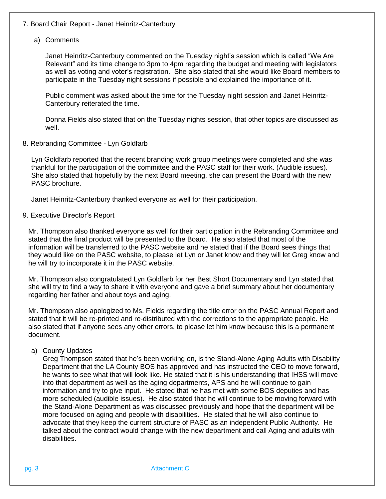# 7. Board Chair Report - Janet Heinritz-Canterbury

#### a) Comments

Janet Heinritz-Canterbury commented on the Tuesday night's session which is called "We Are Relevant" and its time change to 3pm to 4pm regarding the budget and meeting with legislators as well as voting and voter's registration. She also stated that she would like Board members to participate in the Tuesday night sessions if possible and explained the importance of it.

Public comment was asked about the time for the Tuesday night session and Janet Heinritz-Canterbury reiterated the time.

Donna Fields also stated that on the Tuesday nights session, that other topics are discussed as well.

8. Rebranding Committee - Lyn Goldfarb

Lyn Goldfarb reported that the recent branding work group meetings were completed and she was thankful for the participation of the committee and the PASC staff for their work. (Audible issues). She also stated that hopefully by the next Board meeting, she can present the Board with the new PASC brochure.

Janet Heinritz-Canterbury thanked everyone as well for their participation.

#### 9. Executive Director's Report

Mr. Thompson also thanked everyone as well for their participation in the Rebranding Committee and stated that the final product will be presented to the Board. He also stated that most of the information will be transferred to the PASC website and he stated that if the Board sees things that they would like on the PASC website, to please let Lyn or Janet know and they will let Greg know and he will try to incorporate it in the PASC website.

Mr. Thompson also congratulated Lyn Goldfarb for her Best Short Documentary and Lyn stated that she will try to find a way to share it with everyone and gave a brief summary about her documentary regarding her father and about toys and aging.

Mr. Thompson also apologized to Ms. Fields regarding the title error on the PASC Annual Report and stated that it will be re-printed and re-distributed with the corrections to the appropriate people. He also stated that if anyone sees any other errors, to please let him know because this is a permanent document.

#### a) County Updates

Greg Thompson stated that he's been working on, is the Stand-Alone Aging Adults with Disability Department that the LA County BOS has approved and has instructed the CEO to move forward, he wants to see what that will look like. He stated that it is his understanding that IHSS will move into that department as well as the aging departments, APS and he will continue to gain information and try to give input. He stated that he has met with some BOS deputies and has more scheduled (audible issues). He also stated that he will continue to be moving forward with the Stand-Alone Department as was discussed previously and hope that the department will be more focused on aging and people with disabilities. He stated that he will also continue to advocate that they keep the current structure of PASC as an independent Public Authority. He talked about the contract would change with the new department and call Aging and adults with disabilities.

pg. 3 Attachment C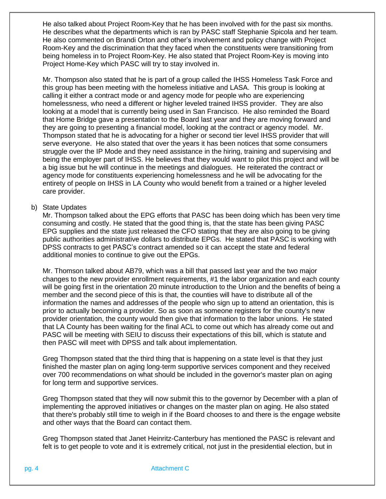He also talked about Project Room-Key that he has been involved with for the past six months. He describes what the departments which is ran by PASC staff Stephanie Spicola and her team. He also commented on Brandi Orton and other's involvement and policy change with Project Room-Key and the discrimination that they faced when the constituents were transitioning from being homeless in to Project Room-Key. He also stated that Project Room-Key is moving into Project Home-Key which PASC will try to stay involved in.

Mr. Thompson also stated that he is part of a group called the IHSS Homeless Task Force and this group has been meeting with the homeless initiative and LASA. This group is looking at calling it either a contract mode or and agency mode for people who are experiencing homelessness, who need a different or higher leveled trained IHSS provider. They are also looking at a model that is currently being used in San Francisco. He also reminded the Board that Home Bridge gave a presentation to the Board last year and they are moving forward and they are going to presenting a financial model, looking at the contract or agency model. Mr. Thompson stated that he is advocating for a higher or second tier level IHSS provider that will serve everyone. He also stated that over the years it has been notices that some consumers struggle over the IP Mode and they need assistance in the hiring, training and supervising and being the employer part of IHSS. He believes that they would want to pilot this project and will be a big issue but he will continue in the meetings and dialogues. He reiterated the contract or agency mode for constituents experiencing homelessness and he will be advocating for the entirety of people on IHSS in LA County who would benefit from a trained or a higher leveled care provider.

### b) State Updates

Mr. Thompson talked about the EPG efforts that PASC has been doing which has been very time consuming and costly. He stated that the good thing is, that the state has been giving PASC EPG supplies and the state just released the CFO stating that they are also going to be giving public authorities administrative dollars to distribute EPGs. He stated that PASC is working with DPSS contracts to get PASC's contract amended so it can accept the state and federal additional monies to continue to give out the EPGs.

Mr. Thomson talked about AB79, which was a bill that passed last year and the two major changes to the new provider enrollment requirements, #1 the labor organization and each county will be going first in the orientation 20 minute introduction to the Union and the benefits of being a member and the second piece of this is that, the counties will have to distribute all of the information the names and addresses of the people who sign up to attend an orientation, this is prior to actually becoming a provider. So as soon as someone registers for the county's new provider orientation, the county would then give that information to the labor unions. He stated that LA County has been waiting for the final ACL to come out which has already come out and PASC will be meeting with SEIU to discuss their expectations of this bill, which is statute and then PASC will meet with DPSS and talk about implementation.

Greg Thompson stated that the third thing that is happening on a state level is that they just finished the master plan on aging long-term supportive services component and they received over 700 recommendations on what should be included in the governor's master plan on aging for long term and supportive services.

Greg Thompson stated that they will now submit this to the governor by December with a plan of implementing the approved initiatives or changes on the master plan on aging. He also stated that there's probably still time to weigh in if the Board chooses to and there is the engage website and other ways that the Board can contact them.

Greg Thompson stated that Janet Heinritz-Canterbury has mentioned the PASC is relevant and felt is to get people to vote and it is extremely critical, not just in the presidential election, but in

pg. 4 **Attachment C**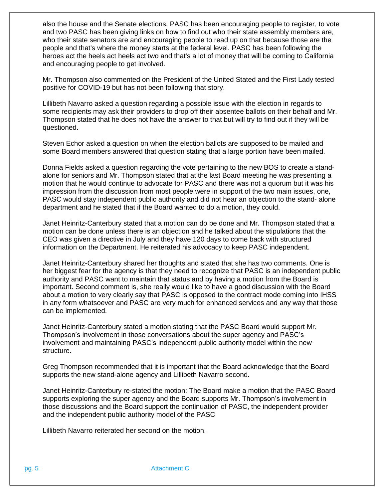also the house and the Senate elections. PASC has been encouraging people to register, to vote and two PASC has been giving links on how to find out who their state assembly members are, who their state senators are and encouraging people to read up on that because those are the people and that's where the money starts at the federal level. PASC has been following the heroes act the heels act heels act two and that's a lot of money that will be coming to California and encouraging people to get involved.

Mr. Thompson also commented on the President of the United Stated and the First Lady tested positive for COVID-19 but has not been following that story.

Lillibeth Navarro asked a question regarding a possible issue with the election in regards to some recipients may ask their providers to drop off their absentee ballots on their behalf and Mr. Thompson stated that he does not have the answer to that but will try to find out if they will be questioned.

Steven Echor asked a question on when the election ballots are supposed to be mailed and some Board members answered that question stating that a large portion have been mailed.

Donna Fields asked a question regarding the vote pertaining to the new BOS to create a standalone for seniors and Mr. Thompson stated that at the last Board meeting he was presenting a motion that he would continue to advocate for PASC and there was not a quorum but it was his impression from the discussion from most people were in support of the two main issues, one, PASC would stay independent public authority and did not hear an objection to the stand- alone department and he stated that if the Board wanted to do a motion, they could.

Janet Heinritz-Canterbury stated that a motion can do be done and Mr. Thompson stated that a motion can be done unless there is an objection and he talked about the stipulations that the CEO was given a directive in July and they have 120 days to come back with structured information on the Department. He reiterated his advocacy to keep PASC independent.

Janet Heinritz-Canterbury shared her thoughts and stated that she has two comments. One is her biggest fear for the agency is that they need to recognize that PASC is an independent public authority and PASC want to maintain that status and by having a motion from the Board is important. Second comment is, she really would like to have a good discussion with the Board about a motion to very clearly say that PASC is opposed to the contract mode coming into IHSS in any form whatsoever and PASC are very much for enhanced services and any way that those can be implemented.

Janet Heinritz-Canterbury stated a motion stating that the PASC Board would support Mr. Thompson's involvement in those conversations about the super agency and PASC's involvement and maintaining PASC's independent public authority model within the new structure.

Greg Thompson recommended that it is important that the Board acknowledge that the Board supports the new stand-alone agency and Lillibeth Navarro second.

Janet Heinritz-Canterbury re-stated the motion: The Board make a motion that the PASC Board supports exploring the super agency and the Board supports Mr. Thompson's involvement in those discussions and the Board support the continuation of PASC, the independent provider and the independent public authority model of the PASC

Lillibeth Navarro reiterated her second on the motion.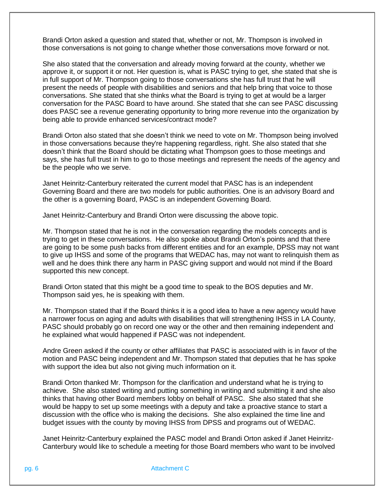Brandi Orton asked a question and stated that, whether or not, Mr. Thompson is involved in those conversations is not going to change whether those conversations move forward or not.

She also stated that the conversation and already moving forward at the county, whether we approve it, or support it or not. Her question is, what is PASC trying to get, she stated that she is in full support of Mr. Thompson going to those conversations she has full trust that he will present the needs of people with disabilities and seniors and that help bring that voice to those conversations. She stated that she thinks what the Board is trying to get at would be a larger conversation for the PASC Board to have around. She stated that she can see PASC discussing does PASC see a revenue generating opportunity to bring more revenue into the organization by being able to provide enhanced services/contract mode?

Brandi Orton also stated that she doesn't think we need to vote on Mr. Thompson being involved in those conversations because they're happening regardless, right. She also stated that she doesn't think that the Board should be dictating what Thompson goes to those meetings and says, she has full trust in him to go to those meetings and represent the needs of the agency and be the people who we serve.

Janet Heinritz-Canterbury reiterated the current model that PASC has is an independent Governing Board and there are two models for public authorities. One is an advisory Board and the other is a governing Board, PASC is an independent Governing Board.

Janet Heinritz-Canterbury and Brandi Orton were discussing the above topic.

Mr. Thompson stated that he is not in the conversation regarding the models concepts and is trying to get in these conversations. He also spoke about Brandi Orton's points and that there are going to be some push backs from different entities and for an example, DPSS may not want to give up IHSS and some of the programs that WEDAC has, may not want to relinquish them as well and he does think there any harm in PASC giving support and would not mind if the Board supported this new concept.

Brandi Orton stated that this might be a good time to speak to the BOS deputies and Mr. Thompson said yes, he is speaking with them.

Mr. Thompson stated that if the Board thinks it is a good idea to have a new agency would have a narrower focus on aging and adults with disabilities that will strengthening IHSS in LA County, PASC should probably go on record one way or the other and then remaining independent and he explained what would happened if PASC was not independent.

Andre Green asked if the county or other affiliates that PASC is associated with is in favor of the motion and PASC being independent and Mr. Thompson stated that deputies that he has spoke with support the idea but also not giving much information on it.

Brandi Orton thanked Mr. Thompson for the clarification and understand what he is trying to achieve. She also stated writing and putting something in writing and submitting it and she also thinks that having other Board members lobby on behalf of PASC. She also stated that she would be happy to set up some meetings with a deputy and take a proactive stance to start a discussion with the office who is making the decisions. She also explained the time line and budget issues with the county by moving IHSS from DPSS and programs out of WEDAC.

Janet Heinritz-Canterbury explained the PASC model and Brandi Orton asked if Janet Heinritz-Canterbury would like to schedule a meeting for those Board members who want to be involved

pg. 6 **Attachment C**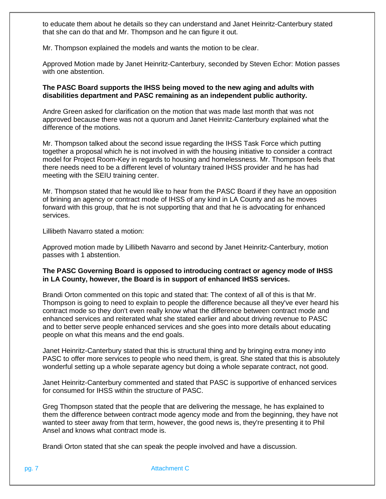to educate them about he details so they can understand and Janet Heinritz-Canterbury stated that she can do that and Mr. Thompson and he can figure it out.

Mr. Thompson explained the models and wants the motion to be clear.

Approved Motion made by Janet Heinritz-Canterbury, seconded by Steven Echor: Motion passes with one abstention.

### **The PASC Board supports the IHSS being moved to the new aging and adults with disabilities department and PASC remaining as an independent public authority.**

Andre Green asked for clarification on the motion that was made last month that was not approved because there was not a quorum and Janet Heinritz-Canterbury explained what the difference of the motions.

Mr. Thompson talked about the second issue regarding the IHSS Task Force which putting together a proposal which he is not involved in with the housing initiative to consider a contract model for Project Room-Key in regards to housing and homelessness. Mr. Thompson feels that there needs need to be a different level of voluntary trained IHSS provider and he has had meeting with the SEIU training center.

Mr. Thompson stated that he would like to hear from the PASC Board if they have an opposition of brining an agency or contract mode of IHSS of any kind in LA County and as he moves forward with this group, that he is not supporting that and that he is advocating for enhanced services.

Lillibeth Navarro stated a motion:

Approved motion made by Lillibeth Navarro and second by Janet Heinritz-Canterbury, motion passes with 1 abstention.

### **The PASC Governing Board is opposed to introducing contract or agency mode of IHSS in LA County, however, the Board is in support of enhanced IHSS services.**

Brandi Orton commented on this topic and stated that: The context of all of this is that Mr. Thompson is going to need to explain to people the difference because all they've ever heard his contract mode so they don't even really know what the difference between contract mode and enhanced services and reiterated what she stated earlier and about driving revenue to PASC and to better serve people enhanced services and she goes into more details about educating people on what this means and the end goals.

Janet Heinritz-Canterbury stated that this is structural thing and by bringing extra money into PASC to offer more services to people who need them, is great. She stated that this is absolutely wonderful setting up a whole separate agency but doing a whole separate contract, not good.

Janet Heinritz-Canterbury commented and stated that PASC is supportive of enhanced services for consumed for IHSS within the structure of PASC.

Greg Thompson stated that the people that are delivering the message, he has explained to them the difference between contract mode agency mode and from the beginning, they have not wanted to steer away from that term, however, the good news is, they're presenting it to Phil Ansel and knows what contract mode is.

Brandi Orton stated that she can speak the people involved and have a discussion.

pg. 7 Attachment C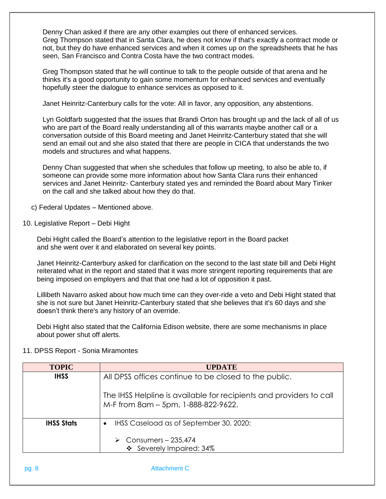Denny Chan asked if there are any other examples out there of enhanced services. Greg Thompson stated that in Santa Clara, he does not know if that's exactly a contract mode or not, but they do have enhanced services and when it comes up on the spreadsheets that he has seen, San Francisco and Contra Costa have the two contract modes.

Greg Thompson stated that he will continue to talk to the people outside of that arena and he thinks it's a good opportunity to gain some momentum for enhanced services and eventually hopefully steer the dialogue to enhance services as opposed to it.

Janet Heinritz-Canterbury calls for the vote: All in favor, any opposition, any abstentions.

Lyn Goldfarb suggested that the issues that Brandi Orton has brought up and the lack of all of us who are part of the Board really understanding all of this warrants maybe another call or a conversation outside of this Board meeting and Janet Heinritz-Canterbury stated that she will send an email out and she also stated that there are people in CICA that understands the two models and structures and what happens.

Denny Chan suggested that when she schedules that follow up meeting, to also be able to, if someone can provide some more information about how Santa Clara runs their enhanced services and Janet Heinritz- Canterbury stated yes and reminded the Board about Mary Tinker on the call and she talked about how they do that.

c) Federal Updates – Mentioned above.

10. Legislative Report – Debi Hight

Debi Hight called the Board's attention to the legislative report in the Board packet and she went over it and elaborated on several key points.

Janet Heinritz-Canterbury asked for clarification on the second to the last state bill and Debi Hight reiterated what in the report and stated that it was more stringent reporting requirements that are being imposed on employers and that that one had a lot of opposition it past.

Lillibeth Navarro asked about how much time can they over-ride a veto and Debi Hight stated that she is not sure but Janet Heinritz-Canterbury stated that she believes that it's 60 days and she doesn't think there's any history of an override.

Debi Hight also stated that the California Edison website, there are some mechanisms in place about power shut off alerts.

|  |  |  |  | 11. DPSS Report - Sonia Miramontes |
|--|--|--|--|------------------------------------|
|--|--|--|--|------------------------------------|

| <b>TOPIC</b>      | <b>UPDATE</b>                                                                                              |  |  |
|-------------------|------------------------------------------------------------------------------------------------------------|--|--|
| <b>IHSS</b>       | All DPSS offices continue to be closed to the public.                                                      |  |  |
|                   | The IHSS Helpline is available for recipients and providers to call<br>M-F from 8am - 5pm, 1-888-822-9622. |  |  |
| <b>IHSS Stats</b> | IHSS Caseload as of September 30, 2020:<br>$\bullet$                                                       |  |  |
|                   | $\triangleright$ Consumers - 235,474<br>❖ Severely Impaired: 34%                                           |  |  |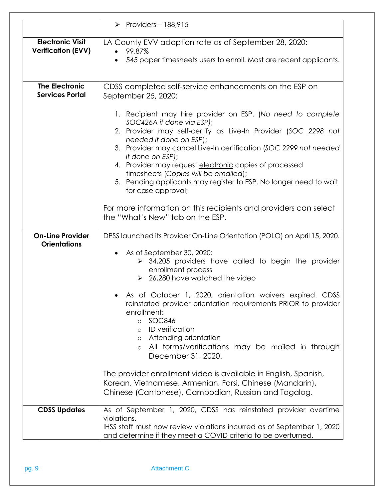|                                                      | Providers - $188,915$                                                                                                                                                                                                                                                                                                                                                                                                                                                                                                                                               |  |  |
|------------------------------------------------------|---------------------------------------------------------------------------------------------------------------------------------------------------------------------------------------------------------------------------------------------------------------------------------------------------------------------------------------------------------------------------------------------------------------------------------------------------------------------------------------------------------------------------------------------------------------------|--|--|
| <b>Electronic Visit</b><br><b>Verification (EVV)</b> | LA County EVV adoption rate as of September 28, 2020:<br>99.87%<br>545 paper timesheets users to enroll. Most are recent applicants.                                                                                                                                                                                                                                                                                                                                                                                                                                |  |  |
| <b>The Electronic</b><br><b>Services Portal</b>      | CDSS completed self-service enhancements on the ESP on<br>September 25, 2020:                                                                                                                                                                                                                                                                                                                                                                                                                                                                                       |  |  |
|                                                      | 1. Recipient may hire provider on ESP. (No need to complete<br>SOC426A if done via ESP);<br>2. Provider may self-certify as Live-In Provider (SOC 2298 not<br>needed if done on ESP);<br>3. Provider may cancel Live-In certification (SOC 2299 not needed<br>if done on ESP);<br>4. Provider may request electronic copies of processed<br>timesheets (Copies will be emailed);<br>5. Pending applicants may register to ESP. No longer need to wait<br>for case approval;                                                                                         |  |  |
|                                                      | For more information on this recipients and providers can select<br>the "What's New" tab on the ESP.                                                                                                                                                                                                                                                                                                                                                                                                                                                                |  |  |
| <b>On-Line Provider</b><br><b>Orientations</b>       | DPSS launched its Provider On-Line Orientation (POLO) on April 15, 2020.<br>• As of September 30, 2020:<br>$\triangleright$ 34,205 providers have called to begin the provider<br>enrollment process<br>$\geq$ 26,280 have watched the video<br>As of October 1, 2020, orientation waivers expired. CDSS<br>reinstated provider orientation requirements PRIOR to provider<br>enrollment:<br><b>SOC846</b><br>$\circ$<br>ID verification<br>$\circ$<br>o Attending orientation<br>All forms/verifications may be mailed in through<br>$\circ$<br>December 31, 2020. |  |  |
|                                                      | The provider enrollment video is available in English, Spanish,<br>Korean, Vietnamese, Armenian, Farsi, Chinese (Mandarin),<br>Chinese (Cantonese), Cambodian, Russian and Tagalog.                                                                                                                                                                                                                                                                                                                                                                                 |  |  |
| <b>CDSS Updates</b>                                  | As of September 1, 2020, CDSS has reinstated provider overtime<br>violations.<br>IHSS staff must now review violations incurred as of September 1, 2020<br>and determine if they meet a COVID criteria to be overturned.                                                                                                                                                                                                                                                                                                                                            |  |  |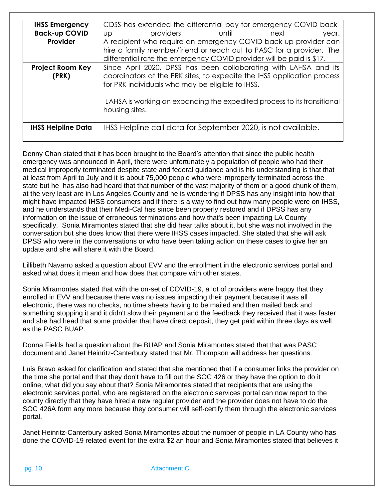| <b>IHSS Emergency</b>     | CDSS has extended the differential pay for emergency COVID back-        |  |  |  |  |
|---------------------------|-------------------------------------------------------------------------|--|--|--|--|
| <b>Back-up COVID</b>      | providers<br><b>Example 1</b> Until<br>next<br>year.<br>Up              |  |  |  |  |
| Provider                  | A recipient who require an emergency COVID back-up provider can         |  |  |  |  |
|                           | hire a family member/friend or reach out to PASC for a provider. The    |  |  |  |  |
|                           | differential rate the emergency COVID provider will be paid is \$17.    |  |  |  |  |
| <b>Project Room Key</b>   | Since April 2020, DPSS has been collaborating with LAHSA and its        |  |  |  |  |
| (PRK)                     | coordinators at the PRK sites, to expedite the IHSS application process |  |  |  |  |
|                           | for PRK individuals who may be eligible to IHSS.                        |  |  |  |  |
|                           |                                                                         |  |  |  |  |
|                           | LAHSA is working on expanding the expedited process to its transitional |  |  |  |  |
|                           | housing sites.                                                          |  |  |  |  |
|                           |                                                                         |  |  |  |  |
| <b>IHSS Helpline Data</b> | IHSS Helpline call data for September 2020, is not available.           |  |  |  |  |
|                           |                                                                         |  |  |  |  |
|                           |                                                                         |  |  |  |  |

Denny Chan stated that it has been brought to the Board's attention that since the public health emergency was announced in April, there were unfortunately a population of people who had their medical improperly terminated despite state and federal guidance and is his understanding is that that at least from April to July and it is about 75,000 people who were improperly terminated across the state but he has also had heard that that number of the vast majority of them or a good chunk of them, at the very least are in Los Angeles County and he is wondering if DPSS has any insight into how that might have impacted IHSS consumers and if there is a way to find out how many people were on IHSS, and he understands that their Medi-Cal has since been properly restored and if DPSS has any information on the issue of erroneous terminations and how that's been impacting LA County specifically. Sonia Miramontes stated that she did hear talks about it, but she was not involved in the conversation but she does know that there were IHSS cases impacted. She stated that she will ask DPSS who were in the conversations or who have been taking action on these cases to give her an update and she will share it with the Board.

Lillibeth Navarro asked a question about EVV and the enrollment in the electronic services portal and asked what does it mean and how does that compare with other states.

Sonia Miramontes stated that with the on-set of COVID-19, a lot of providers were happy that they enrolled in EVV and because there was no issues impacting their payment because it was all electronic, there was no checks, no time sheets having to be mailed and then mailed back and something stopping it and it didn't slow their payment and the feedback they received that it was faster and she had head that some provider that have direct deposit, they get paid within three days as well as the PASC BUAP.

Donna Fields had a question about the BUAP and Sonia Miramontes stated that that was PASC document and Janet Heinritz-Canterbury stated that Mr. Thompson will address her questions.

Luis Bravo asked for clarification and stated that she mentioned that if a consumer links the provider on the time she portal and that they don't have to fill out the SOC 426 or they have the option to do it online, what did you say about that? Sonia Miramontes stated that recipients that are using the electronic services portal, who are registered on the electronic services portal can now report to the county directly that they have hired a new regular provider and the provider does not have to do the SOC 426A form any more because they consumer will self-certify them through the electronic services portal.

Janet Heinritz-Canterbury asked Sonia Miramontes about the number of people in LA County who has done the COVID-19 related event for the extra \$2 an hour and Sonia Miramontes stated that believes it

pg. 10 Attachment C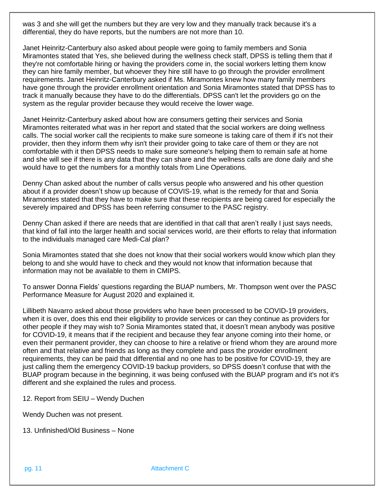was 3 and she will get the numbers but they are very low and they manually track because it's a differential, they do have reports, but the numbers are not more than 10.

Janet Heinritz-Canterbury also asked about people were going to family members and Sonia Miramontes stated that Yes, she believed during the wellness check staff, DPSS is telling them that if they're not comfortable hiring or having the providers come in, the social workers letting them know they can hire family member, but whoever they hire still have to go through the provider enrollment requirements. Janet Heinritz-Canterbury asked if Ms. Miramontes knew how many family members have gone through the provider enrollment orientation and Sonia Miramontes stated that DPSS has to track it manually because they have to do the differentials. DPSS can't let the providers go on the system as the regular provider because they would receive the lower wage.

Janet Heinritz-Canterbury asked about how are consumers getting their services and Sonia Miramontes reiterated what was in her report and stated that the social workers are doing wellness calls. The social worker call the recipients to make sure someone is taking care of them if it's not their provider, then they inform them why isn't their provider going to take care of them or they are not comfortable with it then DPSS needs to make sure someone's helping them to remain safe at home and she will see if there is any data that they can share and the wellness calls are done daily and she would have to get the numbers for a monthly totals from Line Operations.

Denny Chan asked about the number of calls versus people who answered and his other question about if a provider doesn't show up because of COVIS-19, what is the remedy for that and Sonia Miramontes stated that they have to make sure that these recipients are being cared for especially the severely impaired and DPSS has been referring consumer to the PASC registry.

Denny Chan asked if there are needs that are identified in that call that aren't really I just says needs, that kind of fall into the larger health and social services world, are their efforts to relay that information to the individuals managed care Medi-Cal plan?

Sonia Miramontes stated that she does not know that their social workers would know which plan they belong to and she would have to check and they would not know that information because that information may not be available to them in CMIPS.

To answer Donna Fields' questions regarding the BUAP numbers, Mr. Thompson went over the PASC Performance Measure for August 2020 and explained it.

Lillibeth Navarro asked about those providers who have been processed to be COVID-19 providers, when it is over, does this end their eligibility to provide services or can they continue as providers for other people if they may wish to? Sonia Miramontes stated that, it doesn't mean anybody was positive for COVID-19, it means that if the recipient and because they fear anyone coming into their home, or even their permanent provider, they can choose to hire a relative or friend whom they are around more often and that relative and friends as long as they complete and pass the provider enrollment requirements, they can be paid that differential and no one has to be positive for COVID-19, they are just calling them the emergency COVID-19 backup providers, so DPSS doesn't confuse that with the BUAP program because in the beginning, it was being confused with the BUAP program and it's not it's different and she explained the rules and process.

12. Report from SEIU – Wendy Duchen

Wendy Duchen was not present.

13. Unfinished/Old Business – None

pg. 11 Attachment C